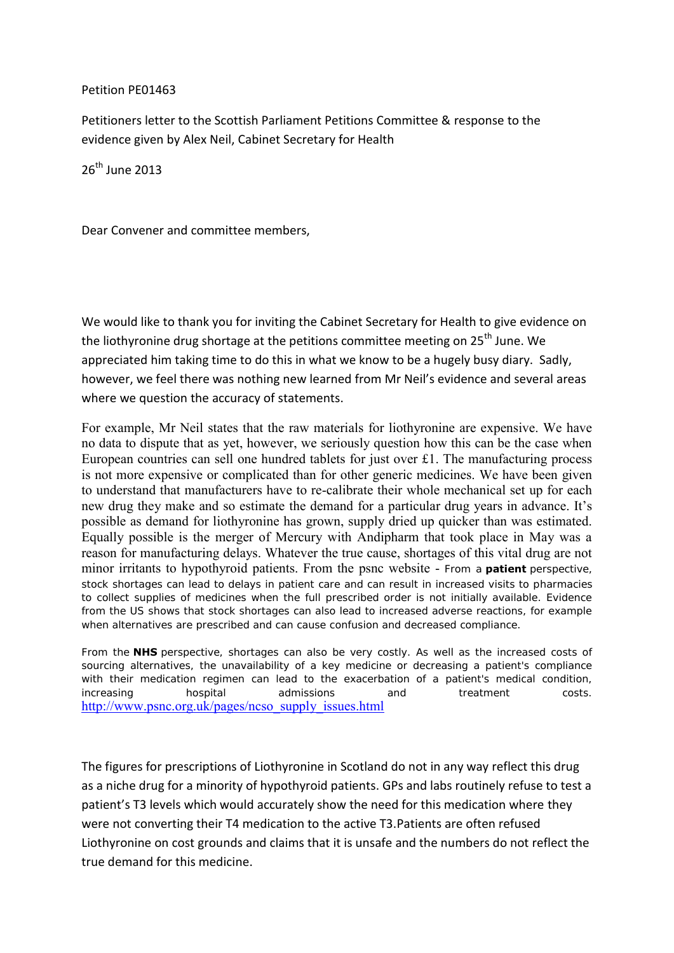## Petition PE01463

Petitioners letter to the Scottish Parliament Petitions Committee & response to the evidence given by Alex Neil, Cabinet Secretary for Health

26th June 2013

Dear Convener and committee members,

We would like to thank you for inviting the Cabinet Secretary for Health to give evidence on the liothyronine drug shortage at the petitions committee meeting on 25<sup>th</sup> June. We appreciated him taking time to do this in what we know to be a hugely busy diary. Sadly, however, we feel there was nothing new learned from Mr Neil's evidence and several areas where we question the accuracy of statements.

For example, Mr Neil states that the raw materials for liothyronine are expensive. We have no data to dispute that as yet, however, we seriously question how this can be the case when European countries can sell one hundred tablets for just over £1. The manufacturing process is not more expensive or complicated than for other generic medicines. We have been given to understand that manufacturers have to re-calibrate their whole mechanical set up for each new drug they make and so estimate the demand for a particular drug years in advance. It's possible as demand for liothyronine has grown, supply dried up quicker than was estimated. Equally possible is the merger of Mercury with Andipharm that took place in May was a reason for manufacturing delays. Whatever the true cause, shortages of this vital drug are not minor irritants to hypothyroid patients. From the psnc website - From a **patient** perspective, stock shortages can lead to delays in patient care and can result in increased visits to pharmacies to collect supplies of medicines when the full prescribed order is not initially available. Evidence from the US shows that stock shortages can also lead to increased adverse reactions, for example when alternatives are prescribed and can cause confusion and decreased compliance.

From the **NHS** perspective, shortages can also be very costly. As well as the increased costs of sourcing alternatives, the unavailability of a key medicine or decreasing a patient's compliance with their medication regimen can lead to the exacerbation of a patient's medical condition, increasing hospital admissions and treatment costs. [http://www.psnc.org.uk/pages/ncso\\_supply\\_issues.html](http://www.psnc.org.uk/pages/ncso_supply_issues.html)

The figures for prescriptions of Liothyronine in Scotland do not in any way reflect this drug as a niche drug for a minority of hypothyroid patients. GPs and labs routinely refuse to test a patient's T3 levels which would accurately show the need for this medication where they were not converting their T4 medication to the active T3.Patients are often refused Liothyronine on cost grounds and claims that it is unsafe and the numbers do not reflect the true demand for this medicine.